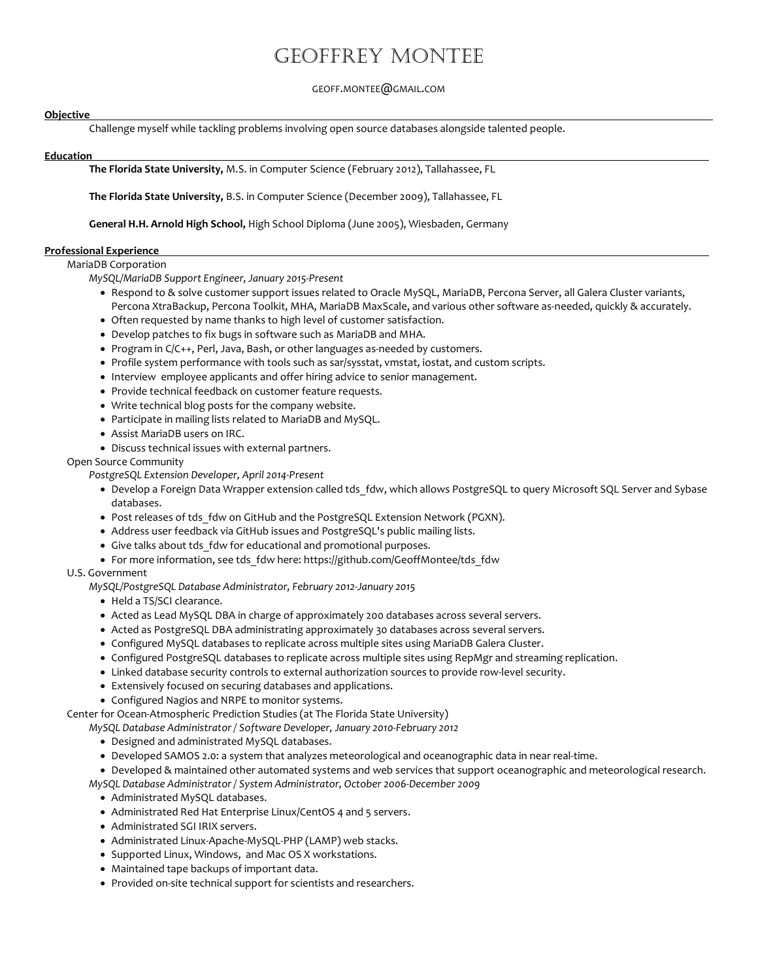## Geoffrey Montee

#### GEOFF.MONTEE@GMAIL.COM

#### **Objective**

Challenge myself while tackling problems involving open source databases alongside talented people.

#### Education .

The Florida State University, M.S. in Computer Science (February 2012), Tallahassee, FL

The Florida State University, B.S. in Computer Science (December 2009), Tallahassee, FL

General H.H. Arnold High School, High School Diploma (June 2005), Wiesbaden, Germany

#### Professional Experience .

#### MariaDB Corporation

MySQL/MariaDB Support Engineer, January 2015-Present

- Respond to & solve customer support issues related to Oracle MySQL, MariaDB, Percona Server, all Galera Cluster variants, Percona XtraBackup, Percona Toolkit, MHA, MariaDB MaxScale, and various other software as-needed, quickly & accurately.
- Often requested by name thanks to high level of customer satisfaction.
- Develop patches to fix bugs in software such as MariaDB and MHA.
- Program in C/C++, Perl, Java, Bash, or other languages as-needed by customers.
- Profile system performance with tools such as sar/sysstat, vmstat, iostat, and custom scripts.
- Interview employee applicants and offer hiring advice to senior management.
- Provide technical feedback on customer feature requests.
- Write technical blog posts for the company website.
- Participate in mailing lists related to MariaDB and MySQL.
- Assist MariaDB users on IRC.
- Discuss technical issues with external partners.

Open Source Community

PostgreSQL Extension Developer, April 2014-Present

- Develop a Foreign Data Wrapper extension called tds fdw, which allows PostgreSQL to query Microsoft SQL Server and Sybase databases.
- Post releases of tds fdw on GitHub and the PostgreSQL Extension Network (PGXN).
- Address user feedback via GitHub issues and PostgreSQL's public mailing lists.
- Give talks about tds fdw for educational and promotional purposes.
- For more information, see tds fdw here: https://github.com/GeoffMontee/tds fdw

#### U.S. Government

- MySQL/PostgreSQL Database Administrator, February 2012-January 2015
	- Held a TS/SCI clearance.
	- Acted as Lead MySQL DBA in charge of approximately 200 databases across several servers.
	- Acted as PostgreSQL DBA administrating approximately 30 databases across several servers.
	- Configured MySQL databases to replicate across multiple sites using MariaDB Galera Cluster.
	- Configured PostgreSQL databases to replicate across multiple sites using RepMgr and streaming replication.
	- Linked database security controls to external authorization sources to provide row-level security.
	- Extensively focused on securing databases and applications.
	- Configured Nagios and NRPE to monitor systems.

Center for Ocean-Atmospheric Prediction Studies (at The Florida State University)

MySQL Database Administrator / Software Developer, January 2010-February 2012

- Designed and administrated MySQL databases.
- Developed SAMOS 2.0: a system that analyzes meteorological and oceanographic data in near real-time.

 Developed & maintained other automated systems and web services that support oceanographic and meteorological research. MySQL Database Administrator / System Administrator, October 2006-December 2009

- Administrated MySQL databases.
- Administrated Red Hat Enterprise Linux/CentOS 4 and 5 servers.
- Administrated SGI IRIX servers.
- Administrated Linux-Apache-MySQL-PHP (LAMP) web stacks.
- Supported Linux, Windows, and Mac OS X workstations.
- Maintained tape backups of important data.
- Provided on-site technical support for scientists and researchers.